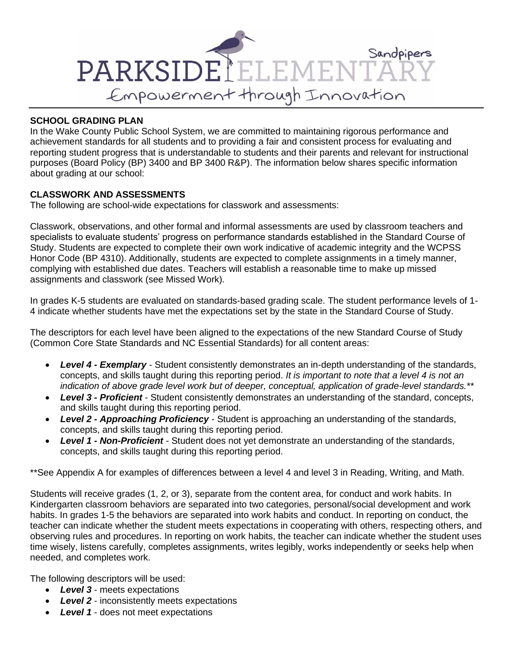

## **SCHOOL GRADING PLAN**

In the Wake County Public School System, we are committed to maintaining rigorous performance and achievement standards for all students and to providing a fair and consistent process for evaluating and reporting student progress that is understandable to students and their parents and relevant for instructional purposes (Board Policy (BP) 3400 and BP 3400 R&P). The information below shares specific information about grading at our school:

#### **CLASSWORK AND ASSESSMENTS**

The following are school-wide expectations for classwork and assessments:

Classwork, observations, and other formal and informal assessments are used by classroom teachers and specialists to evaluate students' progress on performance standards established in the Standard Course of Study. Students are expected to complete their own work indicative of academic integrity and the WCPSS Honor Code (BP 4310). Additionally, students are expected to complete assignments in a timely manner, complying with established due dates. Teachers will establish a reasonable time to make up missed assignments and classwork (see Missed Work).

In grades K-5 students are evaluated on standards-based grading scale. The student performance levels of 1- 4 indicate whether students have met the expectations set by the state in the Standard Course of Study.

The descriptors for each level have been aligned to the expectations of the new Standard Course of Study (Common Core State Standards and NC Essential Standards) for all content areas:

- *Level 4 - Exemplary -* Student consistently demonstrates an in-depth understanding of the standards, concepts, and skills taught during this reporting period. *It is important to note that a level 4 is not an indication of above grade level work but of deeper, conceptual, application of grade-level standards.\*\**
- *Level 3 - Proficient* Student consistently demonstrates an understanding of the standard, concepts, and skills taught during this reporting period.
- *Level 2 - Approaching Proficiency* Student is approaching an understanding of the standards, concepts, and skills taught during this reporting period.
- *Level 1 - Non-Proficient* Student does not yet demonstrate an understanding of the standards, concepts, and skills taught during this reporting period.

\*\*See Appendix A for examples of differences between a level 4 and level 3 in Reading, Writing, and Math.

Students will receive grades (1, 2, or 3), separate from the content area, for conduct and work habits. In Kindergarten classroom behaviors are separated into two categories, personal/social development and work habits. In grades 1-5 the behaviors are separated into work habits and conduct. In reporting on conduct, the teacher can indicate whether the student meets expectations in cooperating with others, respecting others, and observing rules and procedures. In reporting on work habits, the teacher can indicate whether the student uses time wisely, listens carefully, completes assignments, writes legibly, works independently or seeks help when needed, and completes work.

The following descriptors will be used:

- *Level 3* meets expectations
- *Level 2* inconsistently meets expectations
- *Level 1* does not meet expectations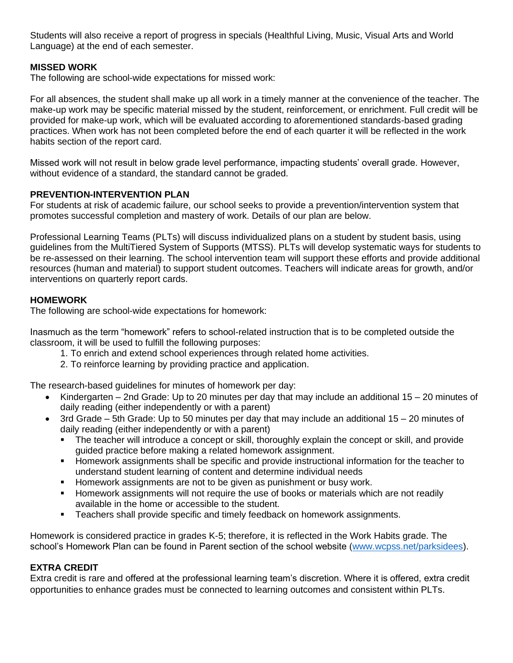Students will also receive a report of progress in specials (Healthful Living, Music, Visual Arts and World Language) at the end of each semester.

## **MISSED WORK**

The following are school-wide expectations for missed work:

For all absences, the student shall make up all work in a timely manner at the convenience of the teacher. The make-up work may be specific material missed by the student, reinforcement, or enrichment. Full credit will be provided for make-up work, which will be evaluated according to aforementioned standards-based grading practices. When work has not been completed before the end of each quarter it will be reflected in the work habits section of the report card.

Missed work will not result in below grade level performance, impacting students' overall grade. However, without evidence of a standard, the standard cannot be graded.

#### **PREVENTION-INTERVENTION PLAN**

For students at risk of academic failure, our school seeks to provide a prevention/intervention system that promotes successful completion and mastery of work. Details of our plan are below.

Professional Learning Teams (PLTs) will discuss individualized plans on a student by student basis, using guidelines from the MultiTiered System of Supports (MTSS). PLTs will develop systematic ways for students to be re-assessed on their learning. The school intervention team will support these efforts and provide additional resources (human and material) to support student outcomes. Teachers will indicate areas for growth, and/or interventions on quarterly report cards.

#### **HOMEWORK**

The following are school-wide expectations for homework:

Inasmuch as the term "homework" refers to school-related instruction that is to be completed outside the classroom, it will be used to fulfill the following purposes:

- 1. To enrich and extend school experiences through related home activities.
- 2. To reinforce learning by providing practice and application.

The research-based guidelines for minutes of homework per day:

- Kindergarten 2nd Grade: Up to 20 minutes per day that may include an additional 15 20 minutes of daily reading (either independently or with a parent)
- 3rd Grade 5th Grade: Up to 50 minutes per day that may include an additional 15 20 minutes of daily reading (either independently or with a parent)
	- The teacher will introduce a concept or skill, thoroughly explain the concept or skill, and provide guided practice before making a related homework assignment.
	- **EXECT** Homework assignments shall be specific and provide instructional information for the teacher to understand student learning of content and determine individual needs
	- Homework assignments are not to be given as punishment or busy work.
	- Homework assignments will not require the use of books or materials which are not readily available in the home or accessible to the student.
	- **EXEC** Teachers shall provide specific and timely feedback on homework assignments.

Homework is considered practice in grades K-5; therefore, it is reflected in the Work Habits grade. The school's Homework Plan can be found in Parent section of the school website [\(www.wcpss.net/parksidees\)](http://www.wcpss.net/parksidees).

#### **EXTRA CREDIT**

Extra credit is rare and offered at the professional learning team's discretion. Where it is offered, extra credit opportunities to enhance grades must be connected to learning outcomes and consistent within PLTs.